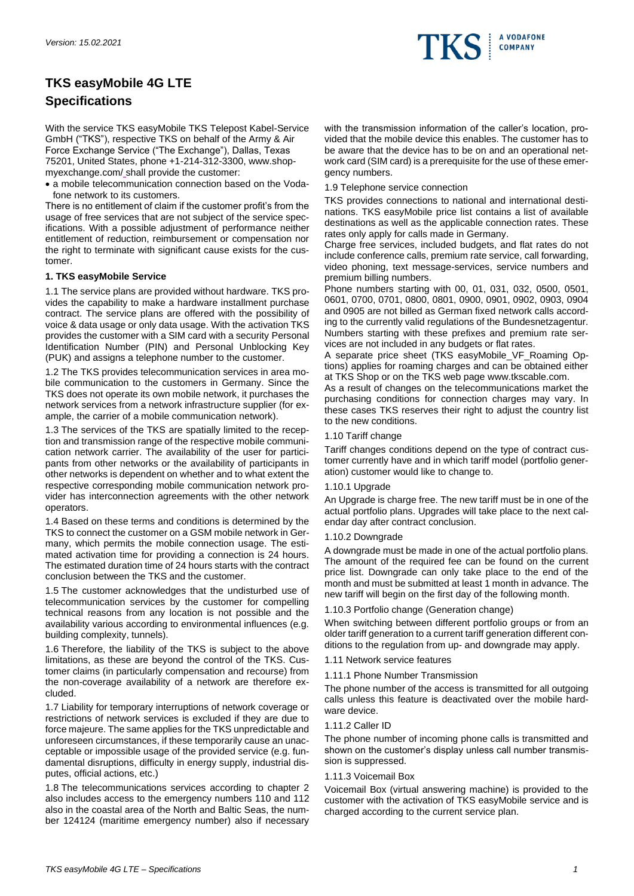

# **TKS easyMobile 4G LTE Specifications**

With the service TKS easyMobile TKS Telepost Kabel-Service GmbH ("TKS"), respective TKS on behalf of the Army & Air Force Exchange Service ("The Exchange"), Dallas, Texas 75201, United States, phone +1-214-312-3300, www.shopmyexchange.com/ shall provide the customer:

• a mobile telecommunication connection based on the Vodafone network to its customers.

There is no entitlement of claim if the customer profit's from the usage of free services that are not subject of the service specifications. With a possible adjustment of performance neither entitlement of reduction, reimbursement or compensation nor the right to terminate with significant cause exists for the customer.

## **1. TKS easyMobile Service**

1.1 The service plans are provided without hardware. TKS provides the capability to make a hardware installment purchase contract. The service plans are offered with the possibility of voice & data usage or only data usage. With the activation TKS provides the customer with a SIM card with a security Personal Identification Number (PIN) and Personal Unblocking Key (PUK) and assigns a telephone number to the customer.

1.2 The TKS provides telecommunication services in area mobile communication to the customers in Germany. Since the TKS does not operate its own mobile network, it purchases the network services from a network infrastructure supplier (for example, the carrier of a mobile communication network).

1.3 The services of the TKS are spatially limited to the reception and transmission range of the respective mobile communication network carrier. The availability of the user for participants from other networks or the availability of participants in other networks is dependent on whether and to what extent the respective corresponding mobile communication network provider has interconnection agreements with the other network operators.

1.4 Based on these terms and conditions is determined by the TKS to connect the customer on a GSM mobile network in Germany, which permits the mobile connection usage. The estimated activation time for providing a connection is 24 hours. The estimated duration time of 24 hours starts with the contract conclusion between the TKS and the customer.

1.5 The customer acknowledges that the undisturbed use of telecommunication services by the customer for compelling technical reasons from any location is not possible and the availability various according to environmental influences (e.g. building complexity, tunnels).

1.6 Therefore, the liability of the TKS is subject to the above limitations, as these are beyond the control of the TKS. Customer claims (in particularly compensation and recourse) from the non-coverage availability of a network are therefore excluded.

1.7 Liability for temporary interruptions of network coverage or restrictions of network services is excluded if they are due to force majeure. The same applies for the TKS unpredictable and unforeseen circumstances, if these temporarily cause an unacceptable or impossible usage of the provided service (e.g. fundamental disruptions, difficulty in energy supply, industrial disputes, official actions, etc.)

1.8 The telecommunications services according to chapter 2 also includes access to the emergency numbers 110 and 112 also in the coastal area of the North and Baltic Seas, the number 124124 (maritime emergency number) also if necessary with the transmission information of the caller's location, provided that the mobile device this enables. The customer has to be aware that the device has to be on and an operational network card (SIM card) is a prerequisite for the use of these emergency numbers.

1.9 Telephone service connection

TKS provides connections to national and international destinations. TKS easyMobile price list contains a list of available destinations as well as the applicable connection rates. These rates only apply for calls made in Germany.

Charge free services, included budgets, and flat rates do not include conference calls, premium rate service, call forwarding, video phoning, text message-services, service numbers and premium billing numbers.

Phone numbers starting with 00, 01, 031, 032, 0500, 0501, 0601, 0700, 0701, 0800, 0801, 0900, 0901, 0902, 0903, 0904 and 0905 are not billed as German fixed network calls according to the currently valid regulations of the Bundesnetzagentur. Numbers starting with these prefixes and premium rate services are not included in any budgets or flat rates.

A separate price sheet (TKS easyMobile\_VF\_Roaming Options) applies for roaming charges and can be obtained either at TKS Shop or on the TKS web page www.tkscable.com.

As a result of changes on the telecommunications market the purchasing conditions for connection charges may vary. In these cases TKS reserves their right to adjust the country list to the new conditions.

## 1.10 Tariff change

Tariff changes conditions depend on the type of contract customer currently have and in which tariff model (portfolio generation) customer would like to change to.

## 1.10.1 Upgrade

An Upgrade is charge free. The new tariff must be in one of the actual portfolio plans. Upgrades will take place to the next calendar day after contract conclusion.

## 1.10.2 Downgrade

A downgrade must be made in one of the actual portfolio plans. The amount of the required fee can be found on the current price list. Downgrade can only take place to the end of the month and must be submitted at least 1 month in advance. The new tariff will begin on the first day of the following month.

# 1.10.3 Portfolio change (Generation change)

When switching between different portfolio groups or from an older tariff generation to a current tariff generation different conditions to the regulation from up- and downgrade may apply.

- 1.11 Network service features
- 1.11.1 Phone Number Transmission

The phone number of the access is transmitted for all outgoing calls unless this feature is deactivated over the mobile hardware device.

## 1.11.2 Caller ID

The phone number of incoming phone calls is transmitted and shown on the customer's display unless call number transmission is suppressed.

## 1.11.3 Voicemail Box

Voicemail Box (virtual answering machine) is provided to the customer with the activation of TKS easyMobile service and is charged according to the current service plan.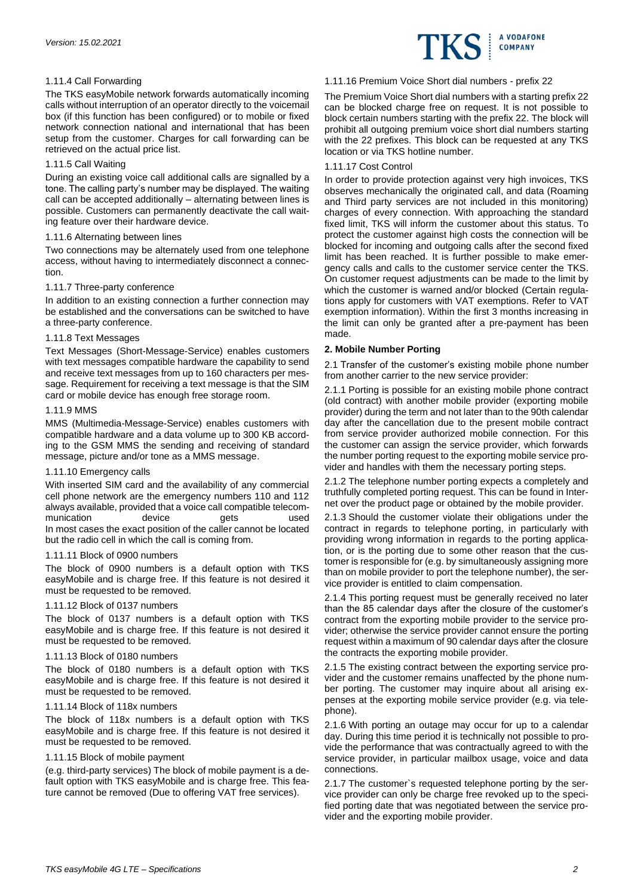

# 1.11.4 Call Forwarding

The TKS easyMobile network forwards automatically incoming calls without interruption of an operator directly to the voicemail box (if this function has been configured) or to mobile or fixed network connection national and international that has been setup from the customer. Charges for call forwarding can be retrieved on the actual price list.

## 1.11.5 Call Waiting

During an existing voice call additional calls are signalled by a tone. The calling party's number may be displayed. The waiting call can be accepted additionally – alternating between lines is possible. Customers can permanently deactivate the call waiting feature over their hardware device.

#### 1.11.6 Alternating between lines

Two connections may be alternately used from one telephone access, without having to intermediately disconnect a connection.

#### 1.11.7 Three-party conference

In addition to an existing connection a further connection may be established and the conversations can be switched to have a three-party conference.

#### 1.11.8 Text Messages

Text Messages (Short-Message-Service) enables customers with text messages compatible hardware the capability to send and receive text messages from up to 160 characters per message. Requirement for receiving a text message is that the SIM card or mobile device has enough free storage room.

#### 1.11.9 MMS

MMS (Multimedia-Message-Service) enables customers with compatible hardware and a data volume up to 300 KB according to the GSM MMS the sending and receiving of standard message, picture and/or tone as a MMS message.

## 1.11.10 Emergency calls

With inserted SIM card and the availability of any commercial cell phone network are the emergency numbers 110 and 112 always available, provided that a voice call compatible telecommunication device gets used In most cases the exact position of the caller cannot be located but the radio cell in which the call is coming from.

#### 1.11.11 Block of 0900 numbers

The block of 0900 numbers is a default option with TKS easyMobile and is charge free. If this feature is not desired it must be requested to be removed.

#### 1.11.12 Block of 0137 numbers

The block of 0137 numbers is a default option with TKS easyMobile and is charge free. If this feature is not desired it must be requested to be removed.

## 1.11.13 Block of 0180 numbers

The block of 0180 numbers is a default option with TKS easyMobile and is charge free. If this feature is not desired it must be requested to be removed.

## 1.11.14 Block of 118x numbers

The block of 118x numbers is a default option with TKS easyMobile and is charge free. If this feature is not desired it must be requested to be removed.

## 1.11.15 Block of mobile payment

(e.g. third-party services) The block of mobile payment is a default option with TKS easyMobile and is charge free. This feature cannot be removed (Due to offering VAT free services).

## 1.11.16 Premium Voice Short dial numbers - prefix 22

The Premium Voice Short dial numbers with a starting prefix 22 can be blocked charge free on request. It is not possible to block certain numbers starting with the prefix 22. The block will prohibit all outgoing premium voice short dial numbers starting with the 22 prefixes. This block can be requested at any TKS location or via TKS hotline number.

#### 1.11.17 Cost Control

In order to provide protection against very high invoices, TKS observes mechanically the originated call, and data (Roaming and Third party services are not included in this monitoring) charges of every connection. With approaching the standard fixed limit, TKS will inform the customer about this status. To protect the customer against high costs the connection will be blocked for incoming and outgoing calls after the second fixed limit has been reached. It is further possible to make emergency calls and calls to the customer service center the TKS. On customer request adjustments can be made to the limit by which the customer is warned and/or blocked (Certain regulations apply for customers with VAT exemptions. Refer to VAT exemption information). Within the first 3 months increasing in the limit can only be granted after a pre-payment has been made.

## **2. Mobile Number Porting**

2.1 Transfer of the customer's existing mobile phone number from another carrier to the new service provider:

2.1.1 Porting is possible for an existing mobile phone contract (old contract) with another mobile provider (exporting mobile provider) during the term and not later than to the 90th calendar day after the cancellation due to the present mobile contract from service provider authorized mobile connection. For this the customer can assign the service provider, which forwards the number porting request to the exporting mobile service provider and handles with them the necessary porting steps.

2.1.2 The telephone number porting expects a completely and truthfully completed porting request. This can be found in Internet over the product page or obtained by the mobile provider.

2.1.3 Should the customer violate their obligations under the contract in regards to telephone porting, in particularly with providing wrong information in regards to the porting application, or is the porting due to some other reason that the customer is responsible for (e.g. by simultaneously assigning more than on mobile provider to port the telephone number), the service provider is entitled to claim compensation.

2.1.4 This porting request must be generally received no later than the 85 calendar days after the closure of the customer's contract from the exporting mobile provider to the service provider; otherwise the service provider cannot ensure the porting request within a maximum of 90 calendar days after the closure the contracts the exporting mobile provider.

2.1.5 The existing contract between the exporting service provider and the customer remains unaffected by the phone number porting. The customer may inquire about all arising expenses at the exporting mobile service provider (e.g. via telephone).

2.1.6 With porting an outage may occur for up to a calendar day. During this time period it is technically not possible to provide the performance that was contractually agreed to with the service provider, in particular mailbox usage, voice and data connections.

2.1.7 The customer`s requested telephone porting by the service provider can only be charge free revoked up to the specified porting date that was negotiated between the service provider and the exporting mobile provider.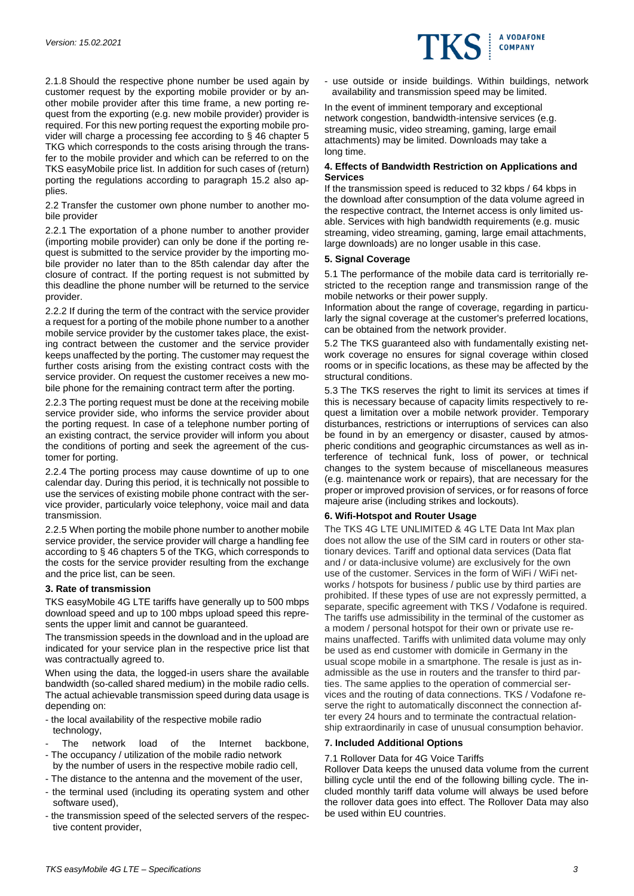

2.1.8 Should the respective phone number be used again by customer request by the exporting mobile provider or by another mobile provider after this time frame, a new porting request from the exporting (e.g. new mobile provider) provider is required. For this new porting request the exporting mobile provider will charge a processing fee according to § 46 chapter 5 TKG which corresponds to the costs arising through the transfer to the mobile provider and which can be referred to on the TKS easyMobile price list. In addition for such cases of (return) porting the regulations according to paragraph 15.2 also applies.

2.2 Transfer the customer own phone number to another mobile provider

2.2.1 The exportation of a phone number to another provider (importing mobile provider) can only be done if the porting request is submitted to the service provider by the importing mobile provider no later than to the 85th calendar day after the closure of contract. If the porting request is not submitted by this deadline the phone number will be returned to the service provider.

2.2.2 If during the term of the contract with the service provider a request for a porting of the mobile phone number to a another mobile service provider by the customer takes place, the existing contract between the customer and the service provider keeps unaffected by the porting. The customer may request the further costs arising from the existing contract costs with the service provider. On request the customer receives a new mobile phone for the remaining contract term after the porting.

2.2.3 The porting request must be done at the receiving mobile service provider side, who informs the service provider about the porting request. In case of a telephone number porting of an existing contract, the service provider will inform you about the conditions of porting and seek the agreement of the customer for porting.

2.2.4 The porting process may cause downtime of up to one calendar day. During this period, it is technically not possible to use the services of existing mobile phone contract with the service provider, particularly voice telephony, voice mail and data transmission.

2.2.5 When porting the mobile phone number to another mobile service provider, the service provider will charge a handling fee according to § 46 chapters 5 of the TKG, which corresponds to the costs for the service provider resulting from the exchange and the price list, can be seen.

## **3. Rate of transmission**

TKS easyMobile 4G LTE tariffs have generally up to 500 mbps download speed and up to 100 mbps upload speed this represents the upper limit and cannot be guaranteed.

The transmission speeds in the download and in the upload are indicated for your service plan in the respective price list that was contractually agreed to.

When using the data, the logged-in users share the available bandwidth (so-called shared medium) in the mobile radio cells. The actual achievable transmission speed during data usage is depending on:

- the local availability of the respective mobile radio technology,
- The network load of the Internet backbone, - The occupancy / utilization of the mobile radio network
- by the number of users in the respective mobile radio cell,
- The distance to the antenna and the movement of the user, - the terminal used (including its operating system and other software used),
- the transmission speed of the selected servers of the respective content provider,

- use outside or inside buildings. Within buildings, network availability and transmission speed may be limited.

In the event of imminent temporary and exceptional network congestion, bandwidth-intensive services (e.g. streaming music, video streaming, gaming, large email attachments) may be limited. Downloads may take a long time.

## **4. Effects of Bandwidth Restriction on Applications and Services**

If the transmission speed is reduced to 32 kbps / 64 kbps in the download after consumption of the data volume agreed in the respective contract, the Internet access is only limited usable. Services with high bandwidth requirements (e.g. music streaming, video streaming, gaming, large email attachments, large downloads) are no longer usable in this case.

# **5. Signal Coverage**

5.1 The performance of the mobile data card is territorially restricted to the reception range and transmission range of the mobile networks or their power supply.

Information about the range of coverage, regarding in particularly the signal coverage at the customer's preferred locations, can be obtained from the network provider.

5.2 The TKS guaranteed also with fundamentally existing network coverage no ensures for signal coverage within closed rooms or in specific locations, as these may be affected by the structural conditions.

5.3 The TKS reserves the right to limit its services at times if this is necessary because of capacity limits respectively to request a limitation over a mobile network provider. Temporary disturbances, restrictions or interruptions of services can also be found in by an emergency or disaster, caused by atmospheric conditions and geographic circumstances as well as interference of technical funk, loss of power, or technical changes to the system because of miscellaneous measures (e.g. maintenance work or repairs), that are necessary for the proper or improved provision of services, or for reasons of force majeure arise (including strikes and lockouts).

## **6. Wifi-Hotspot and Router Usage**

The TKS 4G LTE UNLIMITED & 4G LTE Data Int Max plan does not allow the use of the SIM card in routers or other stationary devices. Tariff and optional data services (Data flat and / or data-inclusive volume) are exclusively for the own use of the customer. Services in the form of WiFi / WiFi networks / hotspots for business / public use by third parties are prohibited. If these types of use are not expressly permitted, a separate, specific agreement with TKS / Vodafone is required. The tariffs use admissibility in the terminal of the customer as a modem / personal hotspot for their own or private use remains unaffected. Tariffs with unlimited data volume may only be used as end customer with domicile in Germany in the usual scope mobile in a smartphone. The resale is just as inadmissible as the use in routers and the transfer to third parties. The same applies to the operation of commercial services and the routing of data connections. TKS / Vodafone reserve the right to automatically disconnect the connection after every 24 hours and to terminate the contractual relationship extraordinarily in case of unusual consumption behavior.

# **7. Included Additional Options**

# 7.1 Rollover Data for 4G Voice Tariffs

Rollover Data keeps the unused data volume from the current billing cycle until the end of the following billing cycle. The included monthly tariff data volume will always be used before the rollover data goes into effect. The Rollover Data may also be used within EU countries.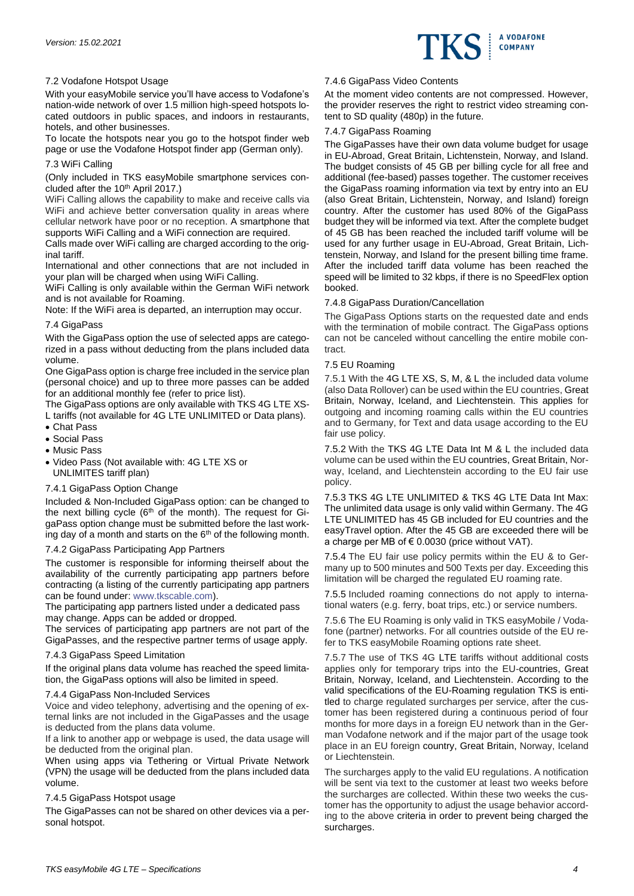

# 7.2 Vodafone Hotspot Usage

With your easyMobile service you'll have access to Vodafone's nation-wide network of over 1.5 million high-speed hotspots located outdoors in public spaces, and indoors in restaurants, hotels, and other businesses.

To locate the hotspots near you go to the hotspot finder web page or use the Vodafone Hotspot finder app (German only).

# 7.3 WiFi Calling

(Only included in TKS easyMobile smartphone services concluded after the 10<sup>th</sup> April 2017.)

WiFi Calling allows the capability to make and receive calls via WiFi and achieve better conversation quality in areas where cellular network have poor or no reception. A smartphone that supports WiFi Calling and a WiFi connection are required.

Calls made over WiFi calling are charged according to the original tariff.

International and other connections that are not included in your plan will be charged when using WiFi Calling.

WiFi Calling is only available within the German WiFi network and is not available for Roaming.

Note: If the WiFi area is departed, an interruption may occur.

# 7.4 GigaPass

With the GigaPass option the use of selected apps are categorized in a pass without deducting from the plans included data volume.

One GigaPass option is charge free included in the service plan (personal choice) and up to three more passes can be added for an additional monthly fee (refer to price list).

The GigaPass options are only available with TKS 4G LTE XS-L tariffs (not available for 4G LTE UNLIMITED or Data plans).

- Chat Pass
- Social Pass
- Music Pass
- Video Pass (Not available with: 4G LTE XS or UNLIMITES tariff plan)

# 7.4.1 GigaPass Option Change

Included & Non-Included GigaPass option: can be changed to the next billing cycle ( $6<sup>th</sup>$  of the month). The request for GigaPass option change must be submitted before the last working day of a month and starts on the  $6<sup>th</sup>$  of the following month.

# 7.4.2 GigaPass Participating App Partners

The customer is responsible for informing theirself about the availability of the currently participating app partners before contracting (a listing of the currently participating app partners can be found under: [www.tkscable.com\)](http://www.tkscable.com/).

The participating app partners listed under a dedicated pass may change. Apps can be added or dropped.

The services of participating app partners are not part of the GigaPasses, and the respective partner terms of usage apply.

## 7.4.3 GigaPass Speed Limitation

If the original plans data volume has reached the speed limitation, the GigaPass options will also be limited in speed.

## 7.4.4 GigaPass Non-Included Services

Voice and video telephony, advertising and the opening of external links are not included in the GigaPasses and the usage is deducted from the plans data volume.

If a link to another app or webpage is used, the data usage will be deducted from the original plan.

When using apps via Tethering or Virtual Private Network (VPN) the usage will be deducted from the plans included data volume.

## 7.4.5 GigaPass Hotspot usage

The GigaPasses can not be shared on other devices via a personal hotspot.

# 7.4.6 GigaPass Video Contents

At the moment video contents are not compressed. However, the provider reserves the right to restrict video streaming content to SD quality (480p) in the future.

# 7.4.7 GigaPass Roaming

The GigaPasses have their own data volume budget for usage in EU-Abroad, Great Britain, Lichtenstein, Norway, and Island. The budget consists of 45 GB per billing cycle for all free and additional (fee-based) passes together. The customer receives the GigaPass roaming information via text by entry into an EU (also Great Britain, Lichtenstein, Norway, and Island) foreign country. After the customer has used 80% of the GigaPass budget they will be informed via text. After the complete budget of 45 GB has been reached the included tariff volume will be used for any further usage in EU-Abroad, Great Britain, Lichtenstein, Norway, and Island for the present billing time frame. After the included tariff data volume has been reached the speed will be limited to 32 kbps, if there is no SpeedFlex option booked.

# 7.4.8 GigaPass Duration/Cancellation

The GigaPass Options starts on the requested date and ends with the termination of mobile contract. The GigaPass options can not be canceled without cancelling the entire mobile contract.

# 7.5 EU Roaming

7.5.1 With the 4G LTE XS, S, M, & L the included data volume (also Data Rollover) can be used within the EU countries, Great Britain, Norway, Iceland, and Liechtenstein. This applies for outgoing and incoming roaming calls within the EU countries and to Germany, for Text and data usage according to the EU fair use policy.

7.5.2 With the TKS 4G LTE Data Int M & L the included data volume can be used within the EU countries, Great Britain, Norway, Iceland, and Liechtenstein according to the EU fair use policy.

7.5.3 TKS 4G LTE UNLIMITED & TKS 4G LTE Data Int Max: The unlimited data usage is only valid within Germany. The 4G LTE UNLIMITED has 45 GB included for EU countries and the easyTravel option. After the 45 GB are exceeded there will be a charge per MB of € 0.0030 (price without VAT).

7.5.4 The EU fair use policy permits within the EU & to Germany up to 500 minutes and 500 Texts per day. Exceeding this limitation will be charged the regulated EU roaming rate.

7.5.5 Included roaming connections do not apply to international waters (e.g. ferry, boat trips, etc.) or service numbers.

7.5.6 The EU Roaming is only valid in TKS easyMobile / Vodafone (partner) networks. For all countries outside of the EU refer to TKS easyMobile Roaming options rate sheet.

7.5.7 The use of TKS 4G LTE tariffs without additional costs applies only for temporary trips into the EU-countries, Great Britain, Norway, Iceland, and Liechtenstein. According to the valid specifications of the EU-Roaming regulation TKS is entitled to charge regulated surcharges per service, after the customer has been registered during a continuous period of four months for more days in a foreign EU network than in the German Vodafone network and if the major part of the usage took place in an EU foreign country, Great Britain, Norway, Iceland or Liechtenstein.

The surcharges apply to the valid EU regulations. A notification will be sent via text to the customer at least two weeks before the surcharges are collected. Within these two weeks the customer has the opportunity to adjust the usage behavior according to the above criteria in order to prevent being charged the surcharges.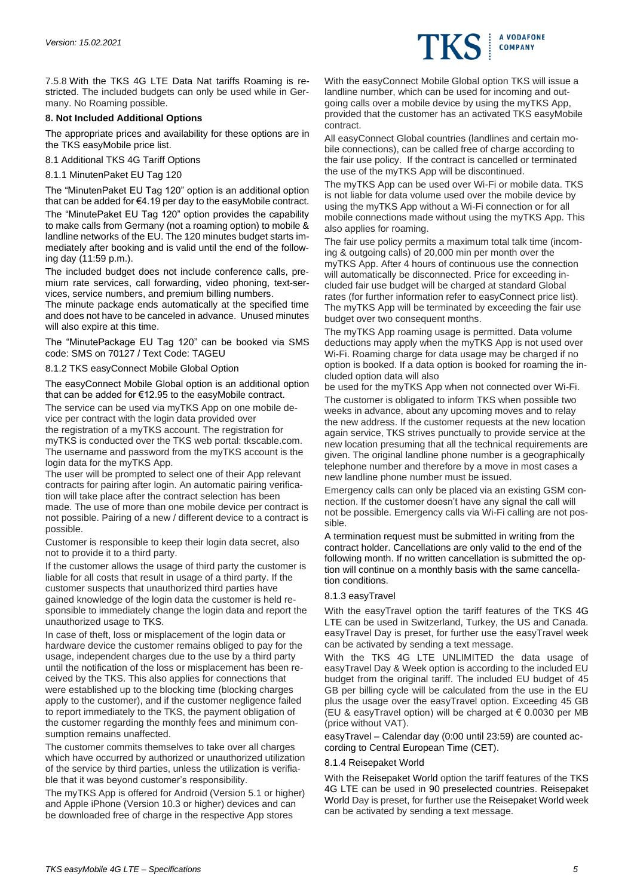

7.5.8 With the TKS 4G LTE Data Nat tariffs Roaming is restricted. The included budgets can only be used while in Germany. No Roaming possible.

# **8. Not Included Additional Options**

The appropriate prices and availability for these options are in the TKS easyMobile price list.

8.1 Additional TKS 4G Tariff Options

8.1.1 MinutenPaket EU Tag 120

The "MinutenPaket EU Tag 120" option is an additional option that can be added for €4.19 per day to the easyMobile contract. The "MinutePaket EU Tag 120" option provides the capability to make calls from Germany (not a roaming option) to mobile & landline networks of the EU. The 120 minutes budget starts immediately after booking and is valid until the end of the following day (11:59 p.m.).

The included budget does not include conference calls, premium rate services, call forwarding, video phoning, text-services, service numbers, and premium billing numbers.

The minute package ends automatically at the specified time and does not have to be canceled in advance. Unused minutes will also expire at this time.

The "MinutePackage EU Tag 120" can be booked via SMS code: SMS on 70127 / Text Code: TAGEU

8.1.2 TKS easyConnect Mobile Global Option

The easyConnect Mobile Global option is an additional option that can be added for €12.95 to the easyMobile contract.

The service can be used via myTKS App on one mobile device per contract with the login data provided over

the registration of a myTKS account. The registration for myTKS is conducted over the TKS web portal: tkscable.com. The username and password from the myTKS account is the login data for the myTKS App.

The user will be prompted to select one of their App relevant contracts for pairing after login. An automatic pairing verification will take place after the contract selection has been made. The use of more than one mobile device per contract is not possible. Pairing of a new / different device to a contract is possible.

Customer is responsible to keep their login data secret, also not to provide it to a third party.

If the customer allows the usage of third party the customer is liable for all costs that result in usage of a third party. If the customer suspects that unauthorized third parties have gained knowledge of the login data the customer is held responsible to immediately change the login data and report the unauthorized usage to TKS.

In case of theft, loss or misplacement of the login data or hardware device the customer remains obliged to pay for the usage, independent charges due to the use by a third party until the notification of the loss or misplacement has been received by the TKS. This also applies for connections that were established up to the blocking time (blocking charges apply to the customer), and if the customer negligence failed to report immediately to the TKS, the payment obligation of the customer regarding the monthly fees and minimum consumption remains unaffected.

The customer commits themselves to take over all charges which have occurred by authorized or unauthorized utilization of the service by third parties, unless the utilization is verifiable that it was beyond customer's responsibility.

The myTKS App is offered for Android (Version 5.1 or higher) and Apple iPhone (Version 10.3 or higher) devices and can be downloaded free of charge in the respective App stores

With the easyConnect Mobile Global option TKS will issue a landline number, which can be used for incoming and outgoing calls over a mobile device by using the myTKS App, provided that the customer has an activated TKS easyMobile contract.

All easyConnect Global countries (landlines and certain mobile connections), can be called free of charge according to the fair use policy. If the contract is cancelled or terminated the use of the myTKS App will be discontinued.

The myTKS App can be used over Wi-Fi or mobile data. TKS is not liable for data volume used over the mobile device by using the myTKS App without a Wi-Fi connection or for all mobile connections made without using the myTKS App. This also applies for roaming.

The fair use policy permits a maximum total talk time (incoming & outgoing calls) of 20,000 min per month over the myTKS App. After 4 hours of continuous use the connection will automatically be disconnected. Price for exceeding included fair use budget will be charged at standard Global rates (for further information refer to easyConnect price list). The myTKS App will be terminated by exceeding the fair use budget over two consequent months.

The myTKS App roaming usage is permitted. Data volume deductions may apply when the myTKS App is not used over Wi-Fi. Roaming charge for data usage may be charged if no option is booked. If a data option is booked for roaming the included option data will also

be used for the myTKS App when not connected over Wi-Fi.

The customer is obligated to inform TKS when possible two weeks in advance, about any upcoming moves and to relay the new address. If the customer requests at the new location again service, TKS strives punctually to provide service at the new location presuming that all the technical requirements are given. The original landline phone number is a geographically telephone number and therefore by a move in most cases a new landline phone number must be issued.

Emergency calls can only be placed via an existing GSM connection. If the customer doesn't have any signal the call will not be possible. Emergency calls via Wi-Fi calling are not possible.

A termination request must be submitted in writing from the contract holder. Cancellations are only valid to the end of the following month. If no written cancellation is submitted the option will continue on a monthly basis with the same cancellation conditions.

## 8.1.3 easyTravel

With the easyTravel option the tariff features of the TKS 4G LTE can be used in Switzerland, Turkey, the US and Canada. easyTravel Day is preset, for further use the easyTravel week can be activated by sending a text message.

With the TKS 4G LTE UNLIMITED the data usage of easyTravel Day & Week option is according to the included EU budget from the original tariff. The included EU budget of 45 GB per billing cycle will be calculated from the use in the EU plus the usage over the easyTravel option. Exceeding 45 GB (EU & easyTravel option) will be charged at  $\epsilon$  0.0030 per MB (price without VAT).

easyTravel – Calendar day (0:00 until 23:59) are counted according to Central European Time (CET).

## 8.1.4 Reisepaket World

With the Reisepaket World option the tariff features of the TKS 4G LTE can be used in 90 preselected countries. Reisepaket World Day is preset, for further use the Reisepaket World week can be activated by sending a text message.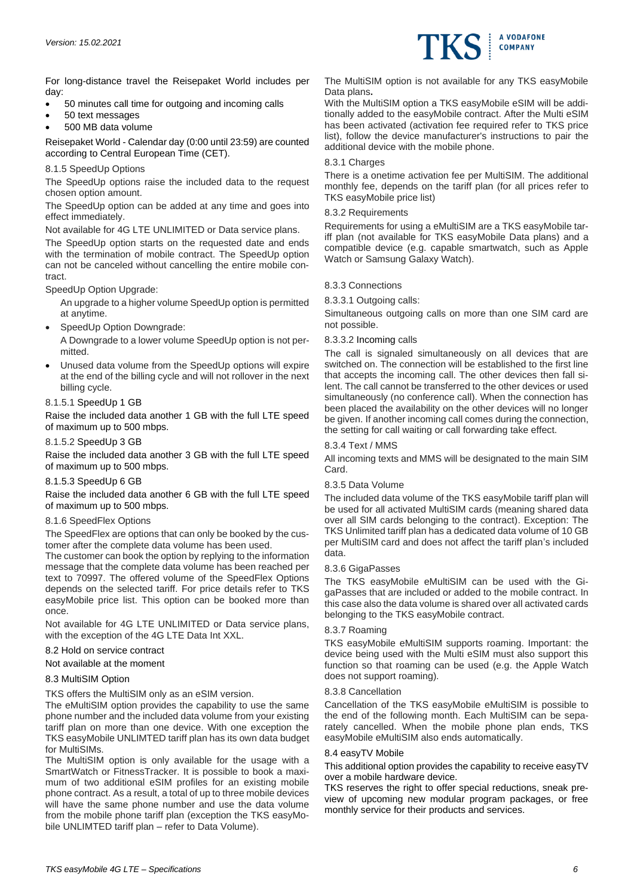

For long-distance travel the Reisepaket World includes per day:

- 50 minutes call time for outgoing and incoming calls
- 50 text messages
- 500 MB data volume

Reisepaket World - Calendar day (0:00 until 23:59) are counted according to Central European Time (CET).

## 8.1.5 SpeedUp Options

The SpeedUp options raise the included data to the request chosen option amount.

The SpeedUp option can be added at any time and goes into effect immediately.

Not available for 4G LTE UNLIMITED or Data service plans.

The SpeedUp option starts on the requested date and ends with the termination of mobile contract. The SpeedUp option can not be canceled without cancelling the entire mobile contract.

## SpeedUp Option Upgrade:

An upgrade to a higher volume SpeedUp option is permitted at anytime.

SpeedUp Option Downgrade:

A Downgrade to a lower volume SpeedUp option is not permitted.

• Unused data volume from the SpeedUp options will expire at the end of the billing cycle and will not rollover in the next billing cycle.

## 8.1.5.1 SpeedUp 1 GB

Raise the included data another 1 GB with the full LTE speed of maximum up to 500 mbps.

## 8.1.5.2 SpeedUp 3 GB

Raise the included data another 3 GB with the full LTE speed of maximum up to 500 mbps.

# 8.1.5.3 SpeedUp 6 GB

Raise the included data another 6 GB with the full LTE speed of maximum up to 500 mbps.

## 8.1.6 SpeedFlex Options

The SpeedFlex are options that can only be booked by the customer after the complete data volume has been used.

The customer can book the option by replying to the information message that the complete data volume has been reached per text to 70997. The offered volume of the SpeedFlex Options depends on the selected tariff. For price details refer to TKS easyMobile price list. This option can be booked more than once.

Not available for 4G LTE UNLIMITED or Data service plans, with the exception of the 4G LTE Data Int XXL.

## 8.2 Hold on service contract

Not available at the moment

## 8.3 MultiSIM Option

TKS offers the MultiSIM only as an eSIM version.

The eMultiSIM option provides the capability to use the same phone number and the included data volume from your existing tariff plan on more than one device. With one exception the TKS easyMobile UNLIMTED tariff plan has its own data budget for MultiSIMs.

The MultiSIM option is only available for the usage with a SmartWatch or FitnessTracker. It is possible to book a maximum of two additional eSIM profiles for an existing mobile phone contract. As a result, a total of up to three mobile devices will have the same phone number and use the data volume from the mobile phone tariff plan (exception the TKS easyMobile UNLIMTED tariff plan – refer to Data Volume).

The MultiSIM option is not available for any TKS easyMobile Data plans**.** 

With the MultiSIM option a TKS easyMobile eSIM will be additionally added to the easyMobile contract. After the Multi eSIM has been activated (activation fee required refer to TKS price list), follow the device manufacturer's instructions to pair the additional device with the mobile phone.

#### 8.3.1 Charges

There is a onetime activation fee per MultiSIM. The additional monthly fee, depends on the tariff plan (for all prices refer to TKS easyMobile price list)

#### 8.3.2 Requirements

Requirements for using a eMultiSIM are a TKS easyMobile tariff plan (not available for TKS easyMobile Data plans) and a compatible device (e.g. capable smartwatch, such as Apple Watch or Samsung Galaxy Watch).

## 8.3.3 Connections

#### 8.3.3.1 Outgoing calls:

Simultaneous outgoing calls on more than one SIM card are not possible.

#### 8.3.3.2 Incoming calls

The call is signaled simultaneously on all devices that are switched on. The connection will be established to the first line that accepts the incoming call. The other devices then fall silent. The call cannot be transferred to the other devices or used simultaneously (no conference call). When the connection has been placed the availability on the other devices will no longer be given. If another incoming call comes during the connection, the setting for call waiting or call forwarding take effect.

#### 8.3.4 Text / MMS

All incoming texts and MMS will be designated to the main SIM Card.

## 8.3.5 Data Volume

The included data volume of the TKS easyMobile tariff plan will be used for all activated MultiSIM cards (meaning shared data over all SIM cards belonging to the contract). Exception: The TKS Unlimited tariff plan has a dedicated data volume of 10 GB per MultiSIM card and does not affect the tariff plan's included data.

#### 8.3.6 GigaPasses

The TKS easyMobile eMultiSIM can be used with the GigaPasses that are included or added to the mobile contract. In this case also the data volume is shared over all activated cards belonging to the TKS easyMobile contract.

## 8.3.7 Roaming

TKS easyMobile eMultiSIM supports roaming. Important: the device being used with the Multi eSIM must also support this function so that roaming can be used (e.g. the Apple Watch does not support roaming).

## 8.3.8 Cancellation

Cancellation of the TKS easyMobile eMultiSIM is possible to the end of the following month. Each MultiSIM can be separately cancelled. When the mobile phone plan ends, TKS easyMobile eMultiSIM also ends automatically.

#### 8.4 easyTV Mobile

This additional option provides the capability to receive easyTV over a mobile hardware device.

TKS reserves the right to offer special reductions, sneak preview of upcoming new modular program packages, or free monthly service for their products and services.